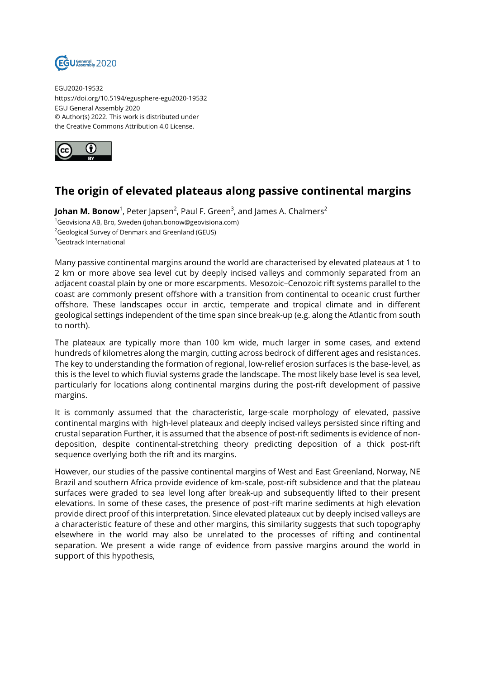

EGU2020-19532 https://doi.org/10.5194/egusphere-egu2020-19532 EGU General Assembly 2020 © Author(s) 2022. This work is distributed under the Creative Commons Attribution 4.0 License.



## **The origin of elevated plateaus along passive continental margins**

**Johan M. Bonow**<sup>1</sup>, Peter Japsen<sup>2</sup>, Paul F. Green<sup>3</sup>, and James A. Chalmers<sup>2</sup>  $1$ Geovisiona AB, Bro, Sweden (johan.bonow@geovisiona.com) <sup>2</sup>Geological Survey of Denmark and Greenland (GEUS) <sup>3</sup>Geotrack International

Many passive continental margins around the world are characterised by elevated plateaus at 1 to 2 km or more above sea level cut by deeply incised valleys and commonly separated from an adjacent coastal plain by one or more escarpments. Mesozoic–Cenozoic rift systems parallel to the coast are commonly present offshore with a transition from continental to oceanic crust further offshore. These landscapes occur in arctic, temperate and tropical climate and in different geological settings independent of the time span since break-up (e.g. along the Atlantic from south to north).

The plateaux are typically more than 100 km wide, much larger in some cases, and extend hundreds of kilometres along the margin, cutting across bedrock of different ages and resistances. The key to understanding the formation of regional, low-relief erosion surfaces is the base-level, as this is the level to which fluvial systems grade the landscape. The most likely base level is sea level, particularly for locations along continental margins during the post-rift development of passive margins.

It is commonly assumed that the characteristic, large-scale morphology of elevated, passive continental margins with high-level plateaux and deeply incised valleys persisted since rifting and crustal separation Further, it is assumed that the absence of post-rift sediments is evidence of nondeposition, despite continental-stretching theory predicting deposition of a thick post-rift sequence overlying both the rift and its margins.

However, our studies of the passive continental margins of West and East Greenland, Norway, NE Brazil and southern Africa provide evidence of km-scale, post-rift subsidence and that the plateau surfaces were graded to sea level long after break-up and subsequently lifted to their present elevations. In some of these cases, the presence of post-rift marine sediments at high elevation provide direct proof of this interpretation. Since elevated plateaux cut by deeply incised valleys are a characteristic feature of these and other margins, this similarity suggests that such topography elsewhere in the world may also be unrelated to the processes of rifting and continental separation. We present a wide range of evidence from passive margins around the world in support of this hypothesis,